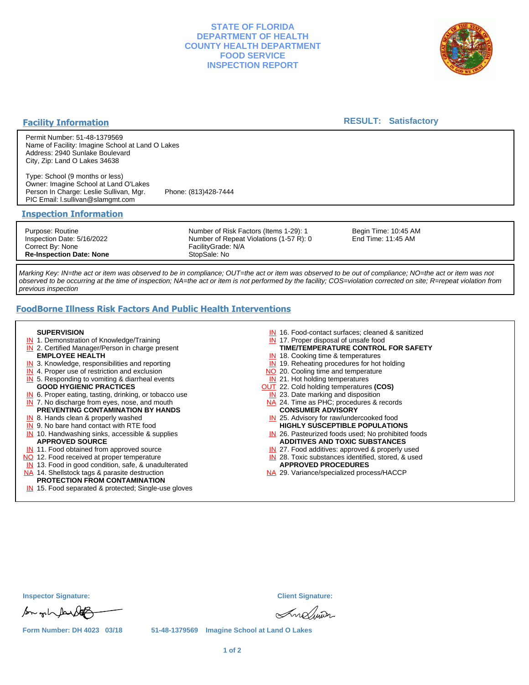## **STATE OF FLORIDA DEPARTMENT OF HEALTH COUNTY HEALTH DEPARTMENT FOOD SERVICE INSPECTION REPORT**



## **Facility Information**

### **RESULT: Satisfactory**

Permit Number: 51-48-1379569 Name of Facility: Imagine School at Land O Lakes Address: 2940 Sunlake Boulevard City, Zip: Land O Lakes 34638

Type: School (9 months or less) Owner: Imagine School at Land O'Lakes Person In Charge: Leslie Sullivan, Mgr. Phone: (813)428-7444 PIC Email: l.sullivan@slamgmt.com

### **Inspection Information**

Purpose: Routine Inspection Date: 5/16/2022 Correct By: None **Re-Inspection Date: None**

Number of Risk Factors (Items 1-29): 1 Number of Repeat Violations (1-57 R): 0 FacilityGrade: N/A StopSale: No

Begin Time: 10:45 AM End Time: 11:45 AM

Marking Key: IN=the act or item was observed to be in compliance; OUT=the act or item was observed to be out of compliance; NO=the act or item was not observed to be occurring at the time of inspection; NA=the act or item is not performed by the facility; COS=violation corrected on site; R=repeat violation from previous inspection

## **FoodBorne Illness Risk Factors And Public Health Interventions**

#### **SUPERVISION**

- **IN** 1. Demonstration of Knowledge/Training
- **IN** 2. Certified Manager/Person in charge present **EMPLOYEE HEALTH**
- **IN** 3. Knowledge, responsibilities and reporting
- **IN** 4. Proper use of restriction and exclusion
- **IN** 5. Responding to vomiting & diarrheal events
- **GOOD HYGIENIC PRACTICES**
- **IN** 6. Proper eating, tasting, drinking, or tobacco use **IN** 7. No discharge from eyes, nose, and mouth
- **PREVENTING CONTAMINATION BY HANDS**
- IN 8. Hands clean & properly washed
- **IN** 9. No bare hand contact with RTE food IN 10. Handwashing sinks, accessible & supplies **APPROVED SOURCE**
- **IN** 11. Food obtained from approved source
- NO 12. Food received at proper temperature
- IN 13. Food in good condition, safe, & unadulterated
- NA 14. Shellstock tags & parasite destruction

# **PROTECTION FROM CONTAMINATION**

IN 15. Food separated & protected; Single-use gloves

- IN 16. Food-contact surfaces; cleaned & sanitized
- IN 17. Proper disposal of unsafe food
- **TIME/TEMPERATURE CONTROL FOR SAFETY**
- IN 18. Cooking time & temperatures
- **IN** 19. Reheating procedures for hot holding NO 20. Cooling time and temperature
- IN 21. Hot holding temperatures
- OUT 22. Cold holding temperatures **(COS)**
- **IN** 23. Date marking and disposition
- NA 24. Time as PHC; procedures & records **CONSUMER ADVISORY**
- IN 25. Advisory for raw/undercooked food **HIGHLY SUSCEPTIBLE POPULATIONS**
- IN 26. Pasteurized foods used; No prohibited foods **ADDITIVES AND TOXIC SUBSTANCES**
- IN 27. Food additives: approved & properly used
- IN 28. Toxic substances identified, stored, & used **APPROVED PROCEDURES**
- NA 29. Variance/specialized process/HACCP

**Inspector Signature: Client Signature:**

for only faith

Andun

**Form Number: DH 4023 03/18 51-48-1379569 Imagine School at Land O Lakes**